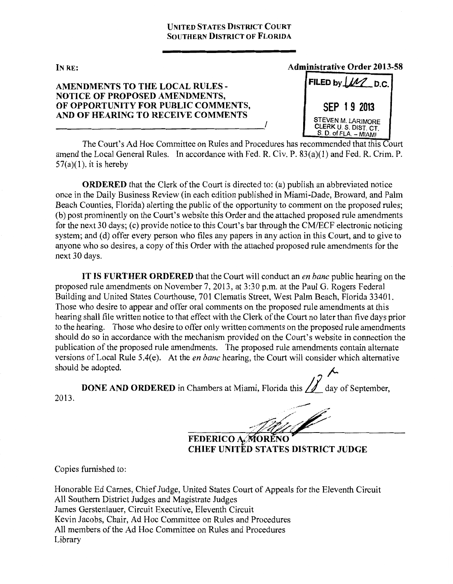## UNITED STATES DISTRICT COURT SOUTHERN DISTRICT OF FLORIDA

IN RE:

# AMENDMENTS TO THE LOCAL RULES - NOTICE OF PROPOSED AMENDMENTS, OF OPPORTUNITY FOR PUBLIC COMMENTS, AND OF HEARING TO RECEIVE COMMENTS

Administrative Order 2013-58

FILED by  $1/2$  D.C. **SEP 1 9 2013**  STEVEN M. L CLERK U. S. DIST. CT. S. D. of FLA. - MIAMI

The Court's Ad Hoc Committee on Rules and Procedures has recommended that this Court amend the Local General Rules. In accordance with Fed. R. Civ. P. 83(a)(1) and Fed. R. Crim. P.  $57(a)(1)$ , it is hereby

ORDERED that the Clerk of the Court is directed to: (a) publish an abbreviated notice once in the Daily Business Review (in each edition published in Miami-Dade, Broward, and Palm Beach Counties, Florida) alerting the public of the opportunity to comment on the proposed rules; (b) post prominently on the Court's website this Order and the attached proposed rule amendments for the next 30 days; (c) provide notice to this Court's bar through the CM/ECF electronic noticing system; and (d) offer every person who files any papers in any action in this Court, and to give to anyone who so desires, a copy of this Order with the attached proposed rule amendments for the next 30 days.

IT IS FURTHER ORDERED that the Court will conduct an *en bane* public hearing on the proposed rule amendments on November 7, 2013, at 3:30 p.m. at the Paul G. Rogers Federal Building and United States Courthouse, 701 Clematis Street, West Palm Beach, Florida 33401. Those who desire to appear and offer oral comments on the proposed rule amendments at this hearing shall file written notice to that effect with the Clerk of the Court no later than five days prior to the hearing. Those who desire to offer only written comments on the proposed rule amendments should do so in accordance with the mechanism provided on the Court's website in connection the publication of the proposed rule amendments. The proposed rule amendments contain alternate versions of Local Rule 5.4(e). At the *en banc* hearing, the Court will consider which alternative should be adopted.

**DONE AND ORDERED** in Chambers at Miami, Florida this  $\mathcal{U}$  day of September, 2013.

**FEDERICO A. MORE** CHIEF UNITED STATES DISTRICT JUDGE

Copies furnished to:

Honorable Ed Carnes, Chief Judge, United States Court of Appeals for the Eleventh Circuit All Southern District Judges and Magistrate Judges James Gerstenlauer, Circuit Executive, Eleventh Circuit Kevin Jacobs, Chair, Ad Hoc Committee on Rules and Procedures All members of the Ad Hoc Committee on Rules and Procedures Library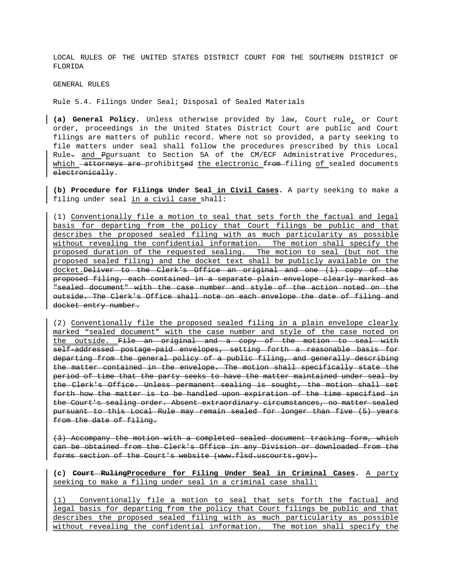LOCAL RULES OF THE UNITED STATES DISTRICT COURT FOR THE SOUTHERN DISTRICT OF FLORIDA

GENERAL RULES

Rule 5.4. Filings Under Seal; Disposal of Sealed Materials

**(a) General Policy.** Unless otherwise provided by law, Court rule, or Court order, proceedings in the United States District Court are public and Court filings are matters of public record. Where not so provided, a party seeking to file matters under seal shall follow the procedures prescribed by this Local Rule. and Ppursuant to Section 5A of the CM/ECF Administrative Procedures, which **attorneys are** prohibitsed the electronic from filing of sealed documents electronically.

**(b) Procedure for Filings Under Seal in Civil Cases.** A party seeking to make a filing under seal in a civil case shall:

(1) Conventionally file a motion to seal that sets forth the factual and legal basis for departing from the policy that Court filings be public and that describes the proposed sealed filing with as much particularity as possible without revealing the confidential information. The motion shall specify the proposed duration of the requested sealing. The motion to seal (but not the proposed sealed filing) and the docket text shall be publicly available on the docket. Deliver to the Clerk's Office an original and one (1) copy of the proposed filing, each contained in a separate plain envelope clearly marked as "sealed document" with the case number and style of the action noted on the outside. The Clerk's Office shall note on each envelope the date of filing and docket entry number.

(2) Conventionally file the proposed sealed filing in a plain envelope clearly marked "sealed document" with the case number and style of the case noted on the outside. File an original and a copy of the motion to seal with self-addressed postage-paid envelopes, setting forth a reasonable basis for departing from the general policy of a public filing, and generally describing the matter contained in the envelope. The motion shall specifically state the period of time that the party seeks to have the matter maintained under seal by the Clerk's Office. Unless permanent sealing is sought, the motion shall set forth how the matter is to be handled upon expiration of the time specified in the Court's sealing order. Absent extraordinary circumstances, no matter sealed pursuant to this Local Rule may remain sealed for longer than five (5) years from the date of filing.

(3) Accompany the motion with a completed sealed document tracking form, which can be obtained from the Clerk's Office in any Division or downloaded from the forms section of the Court's website (www.flsd.uscourts.gov).

**(c) Court RulingProcedure for Filing Under Seal in Criminal Cases.** A party seeking to make a filing under seal in a criminal case shall:

(1) Conventionally file a motion to seal that sets forth the factual and legal basis for departing from the policy that Court filings be public and that describes the proposed sealed filing with as much particularity as possible without revealing the confidential information. The motion shall specify the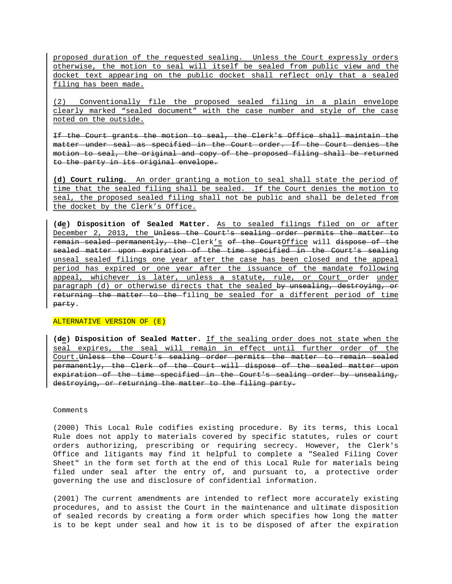proposed duration of the requested sealing. Unless the Court expressly orders otherwise, the motion to seal will itself be sealed from public view and the docket text appearing on the public docket shall reflect only that a sealed filing has been made.

(2) Conventionally file the proposed sealed filing in a plain envelope clearly marked "sealed document" with the case number and style of the case noted on the outside.

If the Court grants the motion to seal, the Clerk's Office shall maintain the matter under seal as specified in the Court order. If the Court denies the motion to seal, the original and copy of the proposed filing shall be returned to the party in its original envelope.

**(d) Court ruling.** An order granting a motion to seal shall state the period of time that the sealed filing shall be sealed. If the Court denies the motion to seal, the proposed sealed filing shall not be public and shall be deleted from the docket by the Clerk's Office.

**(de) Disposition of Sealed Matter.** As to sealed filings filed on or after December 2, 2013, the Unless the Court's sealing order permits the matter to remain sealed permanently, the Clerk's of the CourtOffice will dispose of the sealed matter upon expiration of the time specified in the Court's sealing unseal sealed filings one year after the case has been closed and the appeal period has expired or one year after the issuance of the mandate following appeal, whichever is later, unless a statute, rule, or Court order under paragraph (d) or otherwise directs that the sealed by unsealing, destroying, or returning the matter to the filing be sealed for a different period of time party.

## ALTERNATIVE VERSION OF (E)

**(de) Disposition of Sealed Matter.** If the sealing order does not state when the seal expires, the seal will remain in effect until further order of the Court.Unless the Court's sealing order permits the matter to remain sealed permanently, the Clerk of the Court will dispose of the sealed matter upon expiration of the time specified in the Court's sealing order by unsealing, destroying, or returning the matter to the filing party.

## Comments

(2000) This Local Rule codifies existing procedure. By its terms, this Local Rule does not apply to materials covered by specific statutes, rules or court orders authorizing, prescribing or requiring secrecy. However, the Clerk's Office and litigants may find it helpful to complete a "Sealed Filing Cover Sheet" in the form set forth at the end of this Local Rule for materials being filed under seal after the entry of, and pursuant to, a protective order governing the use and disclosure of confidential information.

(2001) The current amendments are intended to reflect more accurately existing procedures, and to assist the Court in the maintenance and ultimate disposition of sealed records by creating a form order which specifies how long the matter is to be kept under seal and how it is to be disposed of after the expiration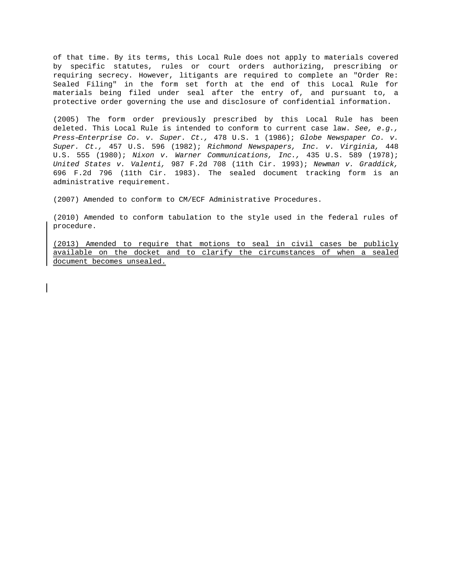of that time. By its terms, this Local Rule does not apply to materials covered by specific statutes, rules or court orders authorizing, prescribing or requiring secrecy. However, litigants are required to complete an "Order Re: Sealed Filing" in the form set forth at the end of this Local Rule for materials being filed under seal after the entry of, and pursuant to, a protective order governing the use and disclosure of confidential information.

(2005) The form order previously prescribed by this Local Rule has been deleted. This Local Rule is intended to conform to current case law. *See, e.g., Press-Enterprise Co. v. Super. Ct.,* 478 U.S. 1 (1986); *Globe Newspaper Co. v. Super. Ct.,* 457 U.S. 596 (1982); *Richmond Newspapers, Inc. v. Virginia,* 448 U.S. 555 (1980); *Nixon v. Warner Communications, Inc.,* 435 U.S. 589 (1978); *United States v. Valenti,* 987 F.2d 708 (11th Cir. 1993); *Newman v. Graddick,* 696 F.2d 796 (11th Cir. 1983). The sealed document tracking form is an administrative requirement.

(2007) Amended to conform to CM/ECF Administrative Procedures.

(2010) Amended to conform tabulation to the style used in the federal rules of procedure.

(2013) Amended to require that motions to seal in civil cases be publicly available on the docket and to clarify the circumstances of when a sealed document becomes unsealed.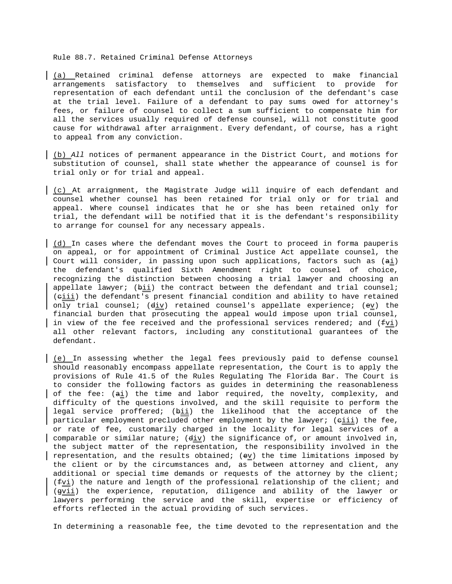Rule 88.7. Retained Criminal Defense Attorneys

(a) Retained criminal defense attorneys are expected to make financial arrangements satisfactory to themselves and sufficient to provide for representation of each defendant until the conclusion of the defendant's case at the trial level. Failure of a defendant to pay sums owed for attorney's fees, or failure of counsel to collect a sum sufficient to compensate him for all the services usually required of defense counsel, will not constitute good cause for withdrawal after arraignment. Every defendant, of course, has a right to appeal from any conviction.

(b) *All* notices of permanent appearance in the District Court, and motions for substitution of counsel, shall state whether the appearance of counsel is for trial only or for trial and appeal.

(c) At arraignment, the Magistrate Judge will inquire of each defendant and counsel whether counsel has been retained for trial only or for trial and appeal. Where counsel indicates that he or she has been retained only for trial, the defendant will be notified that it is the defendant's responsibility to arrange for counsel for any necessary appeals.

(d) In cases where the defendant moves the Court to proceed in forma pauperis on appeal, or for appointment of Criminal Justice Act appellate counsel, the Court will consider, in passing upon such applications, factors such as (ai) the defendant's qualified Sixth Amendment right to counsel of choice, recognizing the distinction between choosing a trial lawyer and choosing an appellate lawyer; (bii) the contract between the defendant and trial counsel; (ciii) the defendant's present financial condition and ability to have retained only trial counsel; (div) retained counsel's appellate experience; (ev) the financial burden that prosecuting the appeal would impose upon trial counsel,  $\mid$  in view of the fee received and the professional services rendered; and (£vi) all other relevant factors, including any constitutional guarantees of the defendant.

 $\left( \frac{e}{e} \right)$  In assessing whether the legal fees previously paid to defense counsel should reasonably encompass appellate representation, the Court is to apply the provisions of Rule 41.5 of the Rules Regulating The Florida Bar. The Court is to consider the following factors as guides in determining the reasonableness of the fee: (ai) the time and labor required, the novelty, complexity, and difficulty of the questions involved, and the skill requisite to perform the legal service proffered; (bii) the likelihood that the acceptance of the particular employment precluded other employment by the lawyer; (ciii) the fee, or rate of fee, customarily charged in the locality for legal services of a comparable or similar nature; (div) the significance of, or amount involved in, the subject matter of the representation, the responsibility involved in the representation, and the results obtained; (ev) the time limitations imposed by the client or by the circumstances and, as between attorney and client, any additional or special time demands or requests of the attorney by the client;  $(\text{\textsterling}vi)$  the nature and length of the professional relationship of the client; and (gvii) the experience, reputation, diligence and ability of the lawyer or lawyers performing the service and the skill, expertise or efficiency of efforts reflected in the actual providing of such services.

In determining a reasonable fee, the time devoted to the representation and the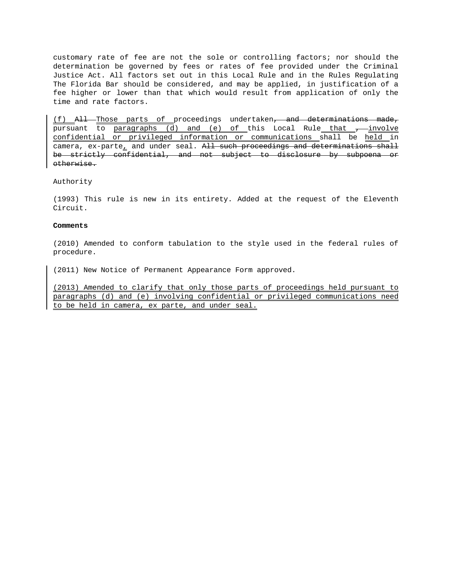customary rate of fee are not the sole or controlling factors; nor should the determination be governed by fees or rates of fee provided under the Criminal Justice Act. All factors set out in this Local Rule and in the Rules Regulating The Florida Bar should be considered, and may be applied, in justification of a fee higher or lower than that which would result from application of only the time and rate factors.

(f) All Those parts of proceedings undertaken, and determinations made, pursuant to paragraphs  $(d)$  and  $(e)$  of this Local Rule that  $\frac{1}{f}$  involve confidential or privileged information or communications shall be held in camera, ex-parte, and under seal. All such proceedings and determinations shall be strictly confidential, and not subject to disclosure by subpoena or otherwise.

## Authority

(1993) This rule is new in its entirety. Added at the request of the Eleventh Circuit.

#### **Comments**

(2010) Amended to conform tabulation to the style used in the federal rules of procedure.

(2011) New Notice of Permanent Appearance Form approved.

(2013) Amended to clarify that only those parts of proceedings held pursuant to paragraphs (d) and (e) involving confidential or privileged communications need to be held in camera, ex parte, and under seal.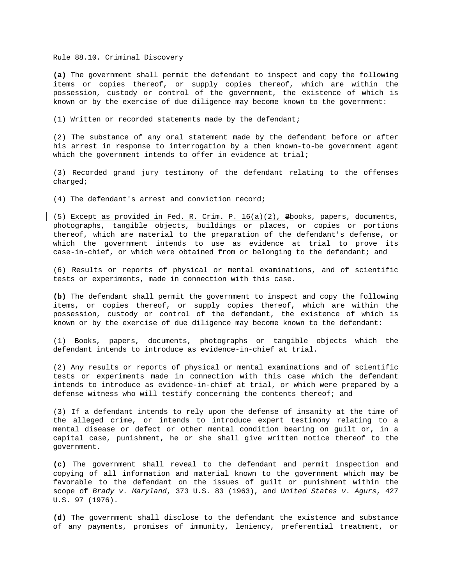Rule 88.10. Criminal Discovery

**(a)** The government shall permit the defendant to inspect and copy the following items or copies thereof, or supply copies thereof, which are within the possession, custody or control of the government, the existence of which is known or by the exercise of due diligence may become known to the government:

(1) Written or recorded statements made by the defendant;

(2) The substance of any oral statement made by the defendant before or after his arrest in response to interrogation by a then known-to-be government agent which the government intends to offer in evidence at trial;

(3) Recorded grand jury testimony of the defendant relating to the offenses charged;

(4) The defendant's arrest and conviction record;

(5) Except as provided in Fed. R. Crim. P. 16(a)(2), Bbooks, papers, documents, photographs, tangible objects, buildings or places, or copies or portions thereof, which are material to the preparation of the defendant's defense, or which the government intends to use as evidence at trial to prove its case-in-chief, or which were obtained from or belonging to the defendant; and

(6) Results or reports of physical or mental examinations, and of scientific tests or experiments, made in connection with this case.

**(b)** The defendant shall permit the government to inspect and copy the following items, or copies thereof, or supply copies thereof, which are within the possession, custody or control of the defendant, the existence of which is known or by the exercise of due diligence may become known to the defendant:

(1) Books, papers, documents, photographs or tangible objects which the defendant intends to introduce as evidence-in-chief at trial.

(2) Any results or reports of physical or mental examinations and of scientific tests or experiments made in connection with this case which the defendant intends to introduce as evidence-in-chief at trial, or which were prepared by a defense witness who will testify concerning the contents thereof; and

(3) If a defendant intends to rely upon the defense of insanity at the time of the alleged crime, or intends to introduce expert testimony relating to a mental disease or defect or other mental condition bearing on guilt or, in a capital case, punishment, he or she shall give written notice thereof to the government.

**(c)** The government shall reveal to the defendant and permit inspection and copying of all information and material known to the government which may be favorable to the defendant on the issues of guilt or punishment within the scope of *Brady v. Maryland*, 373 U.S. 83 (1963), and *United States v. Agurs*, 427 U.S. 97 (1976).

**(d)** The government shall disclose to the defendant the existence and substance of any payments, promises of immunity, leniency, preferential treatment, or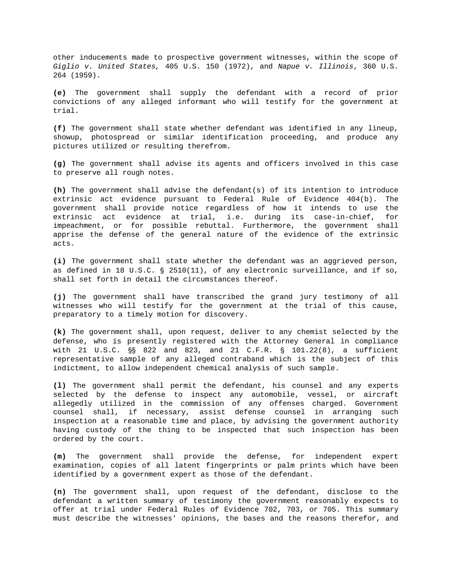other inducements made to prospective government witnesses, within the scope of *Giglio v. United States,* 405 U.S. 150 (1972), and *Napue v. Illinois*, 360 U.S. 264 (1959).

**(e)** The government shall supply the defendant with a record of prior convictions of any alleged informant who will testify for the government at trial.

**(f)** The government shall state whether defendant was identified in any lineup, showup, photospread or similar identification proceeding, and produce any pictures utilized or resulting therefrom.

**(g)** The government shall advise its agents and officers involved in this case to preserve all rough notes.

**(h)** The government shall advise the defendant(s) of its intention to introduce extrinsic act evidence pursuant to Federal Rule of Evidence 404(b). The government shall provide notice regardless of how it intends to use the extrinsic act evidence at trial, i.e. during its case-in-chief, for impeachment, or for possible rebuttal. Furthermore, the government shall apprise the defense of the general nature of the evidence of the extrinsic acts.

**(i)** The government shall state whether the defendant was an aggrieved person, as defined in 18 U.S.C.  $\S$  2510(11), of any electronic surveillance, and if so, shall set forth in detail the circumstances thereof.

**(j)** The government shall have transcribed the grand jury testimony of all witnesses who will testify for the government at the trial of this cause, preparatory to a timely motion for discovery.

**(k)** The government shall, upon request, deliver to any chemist selected by the defense, who is presently registered with the Attorney General in compliance with 21 U.S.C.  $\frac{15}{5}$  822 and 823, and 21 C.F.R.  $\frac{101.22(8)}{5}$ , a sufficient representative sample of any alleged contraband which is the subject of this indictment, to allow independent chemical analysis of such sample.

**(l)** The government shall permit the defendant, his counsel and any experts selected by the defense to inspect any automobile, vessel, or aircraft allegedly utilized in the commission of any offenses charged. Government counsel shall, if necessary, assist defense counsel in arranging such inspection at a reasonable time and place, by advising the government authority having custody of the thing to be inspected that such inspection has been ordered by the court.

**(m)** The government shall provide the defense, for independent expert examination, copies of all latent fingerprints or palm prints which have been identified by a government expert as those of the defendant.

**(n)** The government shall, upon request of the defendant, disclose to the defendant a written summary of testimony the government reasonably expects to offer at trial under Federal Rules of Evidence 702, 703, or 705. This summary must describe the witnesses' opinions, the bases and the reasons therefor, and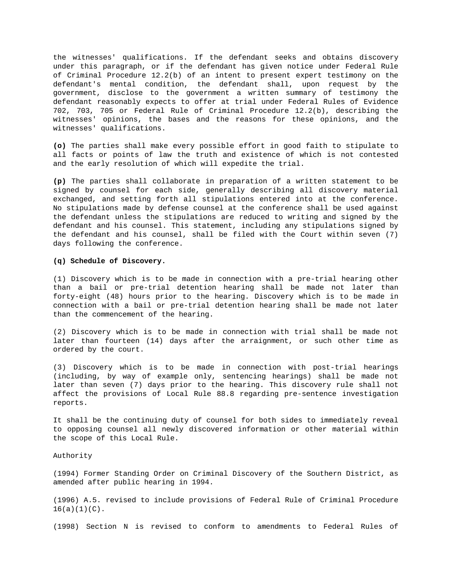the witnesses' qualifications. If the defendant seeks and obtains discovery under this paragraph, or if the defendant has given notice under Federal Rule of Criminal Procedure 12.2(b) of an intent to present expert testimony on the defendant's mental condition, the defendant shall, upon request by the government, disclose to the government a written summary of testimony the defendant reasonably expects to offer at trial under Federal Rules of Evidence 702, 703, 705 or Federal Rule of Criminal Procedure 12.2(b), describing the witnesses' opinions, the bases and the reasons for these opinions, and the witnesses' qualifications.

**(o)** The parties shall make every possible effort in good faith to stipulate to all facts or points of law the truth and existence of which is not contested and the early resolution of which will expedite the trial.

**(p)** The parties shall collaborate in preparation of a written statement to be signed by counsel for each side, generally describing all discovery material exchanged, and setting forth all stipulations entered into at the conference. No stipulations made by defense counsel at the conference shall be used against the defendant unless the stipulations are reduced to writing and signed by the defendant and his counsel. This statement, including any stipulations signed by the defendant and his counsel, shall be filed with the Court within seven (7) days following the conference.

## **(q) Schedule of Discovery.**

(1) Discovery which is to be made in connection with a pre-trial hearing other than a bail or pre-trial detention hearing shall be made not later than forty-eight (48) hours prior to the hearing. Discovery which is to be made in connection with a bail or pre-trial detention hearing shall be made not later than the commencement of the hearing.

(2) Discovery which is to be made in connection with trial shall be made not later than fourteen (14) days after the arraignment, or such other time as ordered by the court.

(3) Discovery which is to be made in connection with post-trial hearings (including, by way of example only, sentencing hearings) shall be made not later than seven (7) days prior to the hearing. This discovery rule shall not affect the provisions of Local Rule 88.8 regarding pre-sentence investigation reports.

It shall be the continuing duty of counsel for both sides to immediately reveal to opposing counsel all newly discovered information or other material within the scope of this Local Rule.

## Authority

(1994) Former Standing Order on Criminal Discovery of the Southern District, as amended after public hearing in 1994.

(1996) A.5. revised to include provisions of Federal Rule of Criminal Procedure  $16(a)(1)(C)$ .

(1998) Section N is revised to conform to amendments to Federal Rules of